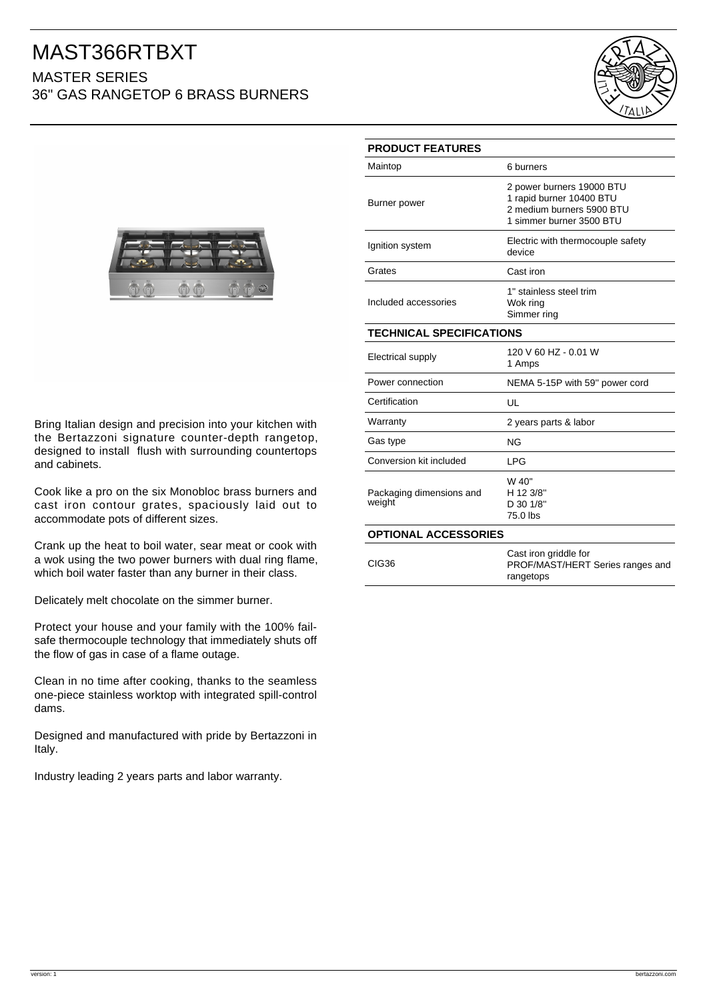## MAST366RTBXT MASTER SERIES

36" GAS RANGETOP 6 BRASS BURNERS





Bring Italian design and precision into your kitchen with the Bertazzoni signature counter-depth rangetop, designed to install flush with surrounding countertops and cabinets.

Cook like a pro on the six Monobloc brass burners and cast iron contour grates, spaciously laid out to accommodate pots of different sizes.

Crank up the heat to boil water, sear meat or cook with a wok using the two power burners with dual ring flame, which boil water faster than any burner in their class.

Delicately melt chocolate on the simmer burner.

Protect your house and your family with the 100% failsafe thermocouple technology that immediately shuts off the flow of gas in case of a flame outage.

Clean in no time after cooking, thanks to the seamless one-piece stainless worktop with integrated spill-control dams.

Designed and manufactured with pride by Bertazzoni in Italy.

Industry leading 2 years parts and labor warranty.

| <b>PRODUCT FEATURES</b>            |                                                                                                                |
|------------------------------------|----------------------------------------------------------------------------------------------------------------|
| Maintop                            | 6 burners                                                                                                      |
| Burner power                       | 2 power burners 19000 BTU<br>1 rapid burner 10400 BTU<br>2 medium burners 5900 BTU<br>1 simmer burner 3500 BTU |
| Ignition system                    | Electric with thermocouple safety<br>device                                                                    |
| Grates                             | Cast iron                                                                                                      |
| Included accessories               | 1" stainless steel trim<br>Wok ring<br>Simmer ring                                                             |
| <b>TECHNICAL SPECIFICATIONS</b>    |                                                                                                                |
| Electrical supply                  | 120 V 60 HZ - 0.01 W<br>1 Amps                                                                                 |
| Power connection                   | NEMA 5-15P with 59" power cord                                                                                 |
| Certification                      | UL                                                                                                             |
| Warranty                           | 2 years parts & labor                                                                                          |
| Gas type                           | ΝG                                                                                                             |
| Conversion kit included            | <b>LPG</b>                                                                                                     |
| Packaging dimensions and<br>weight | W 40"<br>H 12 3/8"<br>D 30 1/8"<br>75.0 lbs                                                                    |
| <b>OPTIONAL ACCESSORIES</b>        |                                                                                                                |
| CIG36                              | Cast iron griddle for<br>PROF/MAST/HERT Series ranges and<br>rangetops                                         |